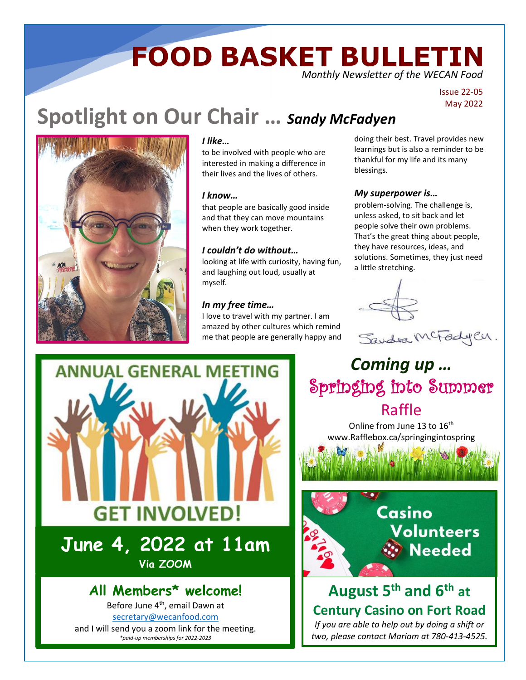# **FOOD BASKET BULLETIN**

*Monthly Newsletter of the WECAN Food* 

Issue 22-05 May 2022

# **Spotlight on Our Chair …** *Sandy McFadyen*



#### *I like…*

to be involved with people who are interested in making a difference in their lives and the lives of others.

#### *I know…*

that people are basically good inside and that they can move mountains when they work together.

#### *I couldn't do without…*

looking at life with curiosity, having fun, and laughing out loud, usually at myself.

#### *In my free time…*

I love to travel with my partner. I am amazed by other cultures which remind me that people are generally happy and doing their best. Travel provides new learnings but is also a reminder to be thankful for my life and its many blessings.

#### *My superpower is…*

problem-solving. The challenge is, unless asked, to sit back and let people solve their own problems. That's the great thing about people, they have resources, ideas, and solutions. Sometimes, they just need a little stretching.







# *Coming up …* Springing into Summer Raffle

Online from June 13 to 16<sup>th</sup> www.Rafflebox.ca/springingintospring



**August 5th and 6th at** 

**Century Casino on Fort Road** *If you are able to help out by doing a shift or two, please contact Mariam at 780-413-4525.*

# **All Members\* welcome!**

**Via ZOOM**

Before June 4<sup>th</sup>, email Dawn at [secretary@wecanfood.com](mailto:secretary@wecanfood.com) and I will send you a zoom link for the meeting. *\*paid-up memberships for 2022-2023*